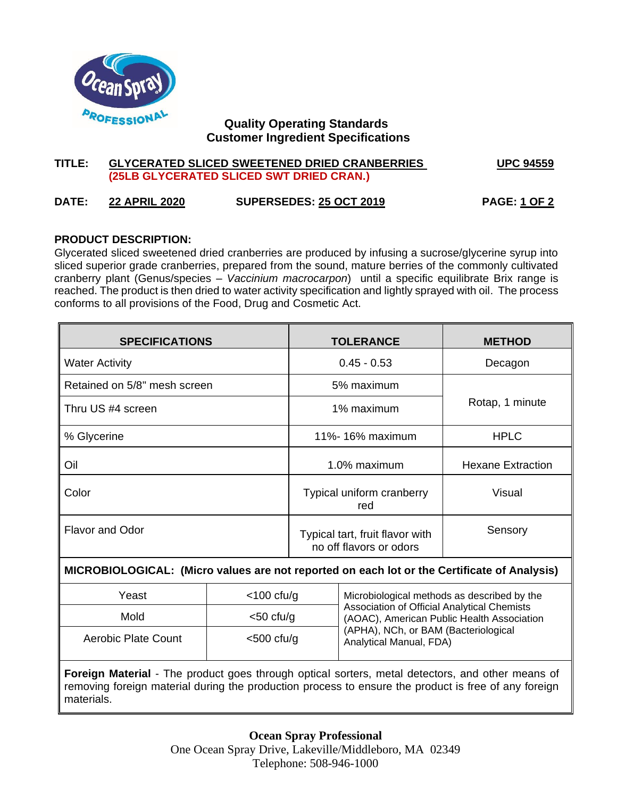

# **Quality Operating Standards Customer Ingredient Specifications**

# **TITLE: GLYCERATED SLICED SWEETENED DRIED CRANBERRIES UPC 94559 (25LB GLYCERATED SLICED SWT DRIED CRAN.)**

# **DATE: 22 APRIL 2020 SUPERSEDES: 25 OCT 2019 PAGE: 1 OF 2**

# **PRODUCT DESCRIPTION:**

Glycerated sliced sweetened dried cranberries are produced by infusing a sucrose/glycerine syrup into sliced superior grade cranberries, prepared from the sound, mature berries of the commonly cultivated cranberry plant (Genus/species – *Vaccinium macrocarpon*) until a specific equilibrate Brix range is reached. The product is then dried to water activity specification and lightly sprayed with oil. The process conforms to all provisions of the Food, Drug and Cosmetic Act.

| <b>SPECIFICATIONS</b>                                                                       |                  | <b>TOLERANCE</b>                                           |                                             | <b>METHOD</b>            |  |
|---------------------------------------------------------------------------------------------|------------------|------------------------------------------------------------|---------------------------------------------|--------------------------|--|
| <b>Water Activity</b>                                                                       |                  | $0.45 - 0.53$                                              |                                             | Decagon                  |  |
| Retained on 5/8" mesh screen                                                                |                  | 5% maximum                                                 |                                             |                          |  |
| Thru US #4 screen                                                                           |                  | 1% maximum                                                 |                                             | Rotap, 1 minute          |  |
| % Glycerine                                                                                 |                  | 11%-16% maximum                                            |                                             | <b>HPLC</b>              |  |
| Oil                                                                                         |                  | 1.0% maximum                                               |                                             | <b>Hexane Extraction</b> |  |
| Color                                                                                       |                  | Typical uniform cranberry<br>red                           |                                             | Visual                   |  |
| Flavor and Odor                                                                             |                  | Typical tart, fruit flavor with<br>no off flavors or odors |                                             | Sensory                  |  |
| MICROBIOLOGICAL: (Micro values are not reported on each lot or the Certificate of Analysis) |                  |                                                            |                                             |                          |  |
| $V$ $\Omega$                                                                                | $\sim$ 100 cfu/a |                                                            | Microbiological mothode as described by the |                          |  |

| Yeast               | $<$ 100 cfu/g | Microbiological methods as described by the<br>Association of Official Analytical Chemists<br>(AOAC), American Public Health Association |
|---------------------|---------------|------------------------------------------------------------------------------------------------------------------------------------------|
| Mold                | $<$ 50 cfu/g  |                                                                                                                                          |
| Aerobic Plate Count | $<$ 500 cfu/g | (APHA), NCh, or BAM (Bacteriological<br>Analytical Manual, FDA)                                                                          |

**Foreign Material** - The product goes through optical sorters, metal detectors, and other means of removing foreign material during the production process to ensure the product is free of any foreign materials.